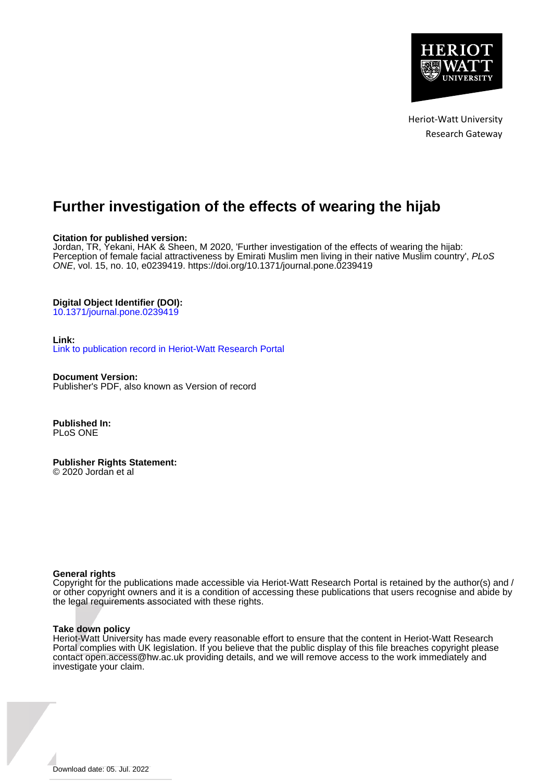

Heriot-Watt University Research Gateway

# **Further investigation of the effects of wearing the hijab**

## **Citation for published version:**

Jordan, TR, Yekani, HAK & Sheen, M 2020, 'Further investigation of the effects of wearing the hijab: Perception of female facial attractiveness by Emirati Muslim men living in their native Muslim country', PLoS ONE, vol. 15, no. 10, e0239419. <https://doi.org/10.1371/journal.pone.0239419>

### **Digital Object Identifier (DOI):**

[10.1371/journal.pone.0239419](https://doi.org/10.1371/journal.pone.0239419)

#### **Link:**

[Link to publication record in Heriot-Watt Research Portal](https://researchportal.hw.ac.uk/en/publications/6bd75ae6-ba89-498b-bc09-1c211cd24cdb)

**Document Version:** Publisher's PDF, also known as Version of record

**Published In:** PLoS ONE

**Publisher Rights Statement:** © 2020 Jordan et al

#### **General rights**

Copyright for the publications made accessible via Heriot-Watt Research Portal is retained by the author(s) and / or other copyright owners and it is a condition of accessing these publications that users recognise and abide by the legal requirements associated with these rights.

#### **Take down policy**

Heriot-Watt University has made every reasonable effort to ensure that the content in Heriot-Watt Research Portal complies with UK legislation. If you believe that the public display of this file breaches copyright please contact open.access@hw.ac.uk providing details, and we will remove access to the work immediately and investigate your claim.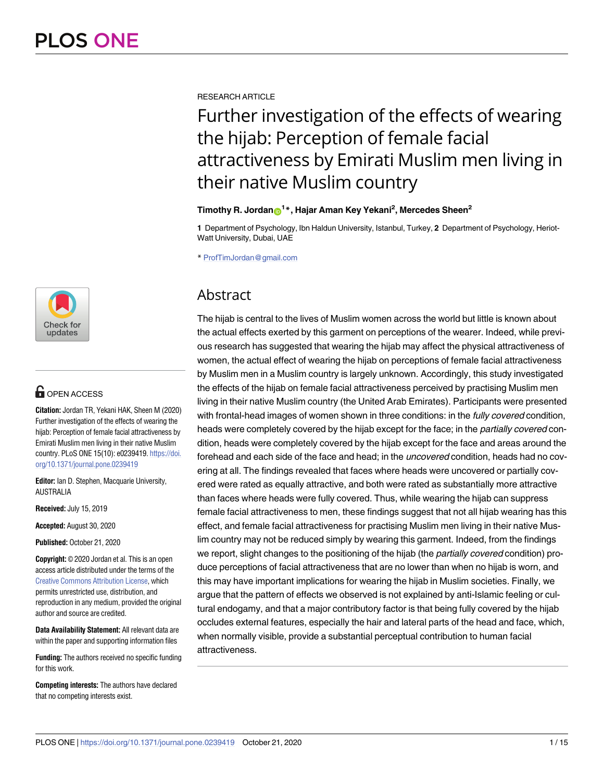

# **G** OPEN ACCESS

**Citation:** Jordan TR, Yekani HAK, Sheen M (2020) Further investigation of the effects of wearing the hijab: Perception of female facial attractiveness by Emirati Muslim men living in their native Muslim country. PLoS ONE 15(10): e0239419. [https://doi.](https://doi.org/10.1371/journal.pone.0239419) [org/10.1371/journal.pone.0239419](https://doi.org/10.1371/journal.pone.0239419)

**Editor:** Ian D. Stephen, Macquarie University, AUSTRALIA

**Received:** July 15, 2019

**Accepted:** August 30, 2020

**Published:** October 21, 2020

**Copyright:** © 2020 Jordan et al. This is an open access article distributed under the terms of the Creative Commons [Attribution](http://creativecommons.org/licenses/by/4.0/) License, which permits unrestricted use, distribution, and reproduction in any medium, provided the original author and source are credited.

**Data Availability Statement:** All relevant data are within the paper and supporting information files

**Funding:** The authors received no specific funding for this work.

**Competing interests:** The authors have declared that no competing interests exist.

RESEARCH ARTICLE

# Further investigation of the effects of wearing the hijab: Perception of female facial attractiveness by Emirati Muslim men living in their native Muslim country

# $\frac{1}{2}$  **Timothy R. Jordan** $\frac{1}{2}$   $^1$   $^*$  , Hajar Aman Key Yekani<sup>2</sup>, Mercedes Sheen<sup>2</sup>

**1** Department of Psychology, Ibn Haldun University, Istanbul, Turkey, **2** Department of Psychology, Heriot-Watt University, Dubai, UAE

\* ProfTimJordan@gmail.com

# Abstract

The hijab is central to the lives of Muslim women across the world but little is known about the actual effects exerted by this garment on perceptions of the wearer. Indeed, while previous research has suggested that wearing the hijab may affect the physical attractiveness of women, the actual effect of wearing the hijab on perceptions of female facial attractiveness by Muslim men in a Muslim country is largely unknown. Accordingly, this study investigated the effects of the hijab on female facial attractiveness perceived by practising Muslim men living in their native Muslim country (the United Arab Emirates). Participants were presented with frontal-head images of women shown in three conditions: in the fully covered condition, heads were completely covered by the hijab except for the face; in the partially covered condition, heads were completely covered by the hijab except for the face and areas around the forehead and each side of the face and head; in the *uncovered* condition, heads had no covering at all. The findings revealed that faces where heads were uncovered or partially covered were rated as equally attractive, and both were rated as substantially more attractive than faces where heads were fully covered. Thus, while wearing the hijab can suppress female facial attractiveness to men, these findings suggest that not all hijab wearing has this effect, and female facial attractiveness for practising Muslim men living in their native Muslim country may not be reduced simply by wearing this garment. Indeed, from the findings we report, slight changes to the positioning of the hijab (the partially covered condition) produce perceptions of facial attractiveness that are no lower than when no hijab is worn, and this may have important implications for wearing the hijab in Muslim societies. Finally, we argue that the pattern of effects we observed is not explained by anti-Islamic feeling or cultural endogamy, and that a major contributory factor is that being fully covered by the hijab occludes external features, especially the hair and lateral parts of the head and face, which, when normally visible, provide a substantial perceptual contribution to human facial attractiveness.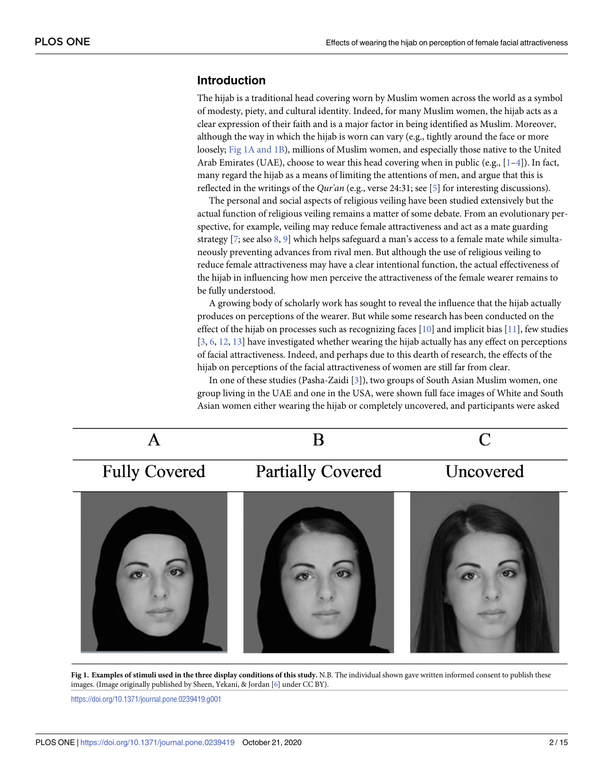# <span id="page-2-0"></span>**Introduction**

The hijab is a traditional head covering worn by Muslim women across the world as a symbol of modesty, piety, and cultural identity. Indeed, for many Muslim women, the hijab acts as a clear expression of their faith and is a major factor in being identified as Muslim. Moreover, although the way in which the hijab is worn can vary (e.g., tightly around the face or more loosely; Fig 1A and 1B), millions of Muslim women, and especially those native to the United Arab Emirates (UAE), choose to wear this head covering when in public (e.g.,  $[1-4]$ ). In fact, many regard the hijab as a means of limiting the attentions of men, and argue that this is reflected in the writings of the *Qur'an* (e.g., verse 24:31; see [[5](#page-13-0)] for interesting discussions).

The personal and social aspects of religious veiling have been studied extensively but the actual function of religious veiling remains a matter of some debate. From an evolutionary perspective, for example, veiling may reduce female attractiveness and act as a mate guarding strategy [[7](#page-13-0); see also [8,](#page-13-0) [9\]](#page-13-0) which helps safeguard a man's access to a female mate while simultaneously preventing advances from rival men. But although the use of religious veiling to reduce female attractiveness may have a clear intentional function, the actual effectiveness of the hijab in influencing how men perceive the attractiveness of the female wearer remains to be fully understood.

A growing body of scholarly work has sought to reveal the influence that the hijab actually produces on perceptions of the wearer. But while some research has been conducted on the effect of the hijab on processes such as recognizing faces  $[10]$  $[10]$  $[10]$  and implicit bias  $[11]$  $[11]$  $[11]$ , few studies [\[3](#page-13-0), [6](#page-13-0), [12](#page-13-0), [13](#page-13-0)] have investigated whether wearing the hijab actually has any effect on perceptions of facial attractiveness. Indeed, and perhaps due to this dearth of research, the effects of the hijab on perceptions of the facial attractiveness of women are still far from clear.

In one of these studies (Pasha-Zaidi [\[3\]](#page-13-0)), two groups of South Asian Muslim women, one group living in the UAE and one in the USA, were shown full face images of White and South Asian women either wearing the hijab or completely uncovered, and participants were asked



Fig 1. Examples of stimuli used in the three display conditions of this study. N.B. The individual shown gave written informed consent to publish these images. (Image originally published by Sheen, Yekani, & Jordan [[6\]](#page-13-0) under CC BY).

<https://doi.org/10.1371/journal.pone.0239419.g001>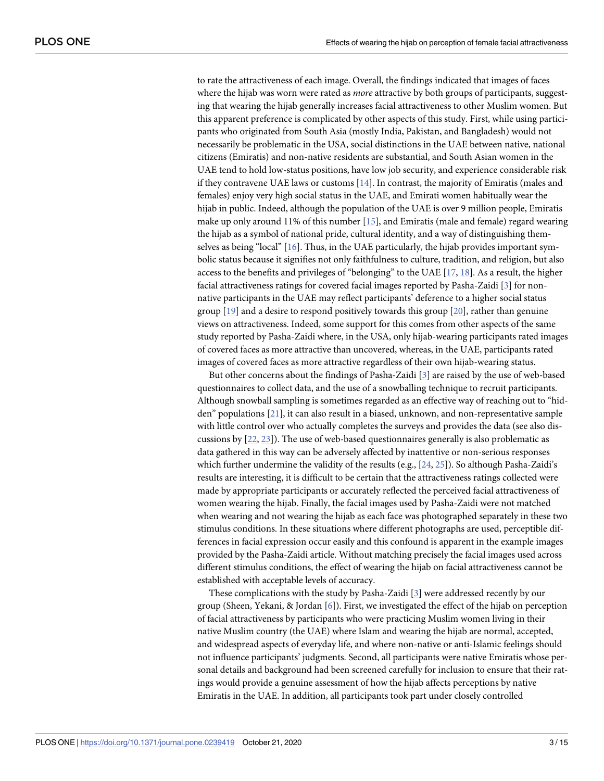<span id="page-3-0"></span>to rate the attractiveness of each image. Overall, the findings indicated that images of faces where the hijab was worn were rated as *more* attractive by both groups of participants, suggesting that wearing the hijab generally increases facial attractiveness to other Muslim women. But this apparent preference is complicated by other aspects of this study. First, while using participants who originated from South Asia (mostly India, Pakistan, and Bangladesh) would not necessarily be problematic in the USA, social distinctions in the UAE between native, national citizens (Emiratis) and non-native residents are substantial, and South Asian women in the UAE tend to hold low-status positions, have low job security, and experience considerable risk if they contravene UAE laws or customs  $[14]$  $[14]$  $[14]$ . In contrast, the majority of Emiratis (males and females) enjoy very high social status in the UAE, and Emirati women habitually wear the hijab in public. Indeed, although the population of the UAE is over 9 million people, Emiratis make up only around 11% of this number [\[15\]](#page-13-0), and Emiratis (male and female) regard wearing the hijab as a symbol of national pride, cultural identity, and a way of distinguishing themselves as being "local" [\[16\]](#page-13-0). Thus, in the UAE particularly, the hijab provides important symbolic status because it signifies not only faithfulness to culture, tradition, and religion, but also access to the benefits and privileges of "belonging" to the UAE [[17](#page-13-0), [18](#page-13-0)]. As a result, the higher facial attractiveness ratings for covered facial images reported by Pasha-Zaidi [\[3\]](#page-13-0) for nonnative participants in the UAE may reflect participants' deference to a higher social status group [\[19\]](#page-13-0) and a desire to respond positively towards this group [[20](#page-13-0)], rather than genuine views on attractiveness. Indeed, some support for this comes from other aspects of the same study reported by Pasha-Zaidi where, in the USA, only hijab-wearing participants rated images of covered faces as more attractive than uncovered, whereas, in the UAE, participants rated images of covered faces as more attractive regardless of their own hijab-wearing status.

But other concerns about the findings of Pasha-Zaidi [\[3\]](#page-13-0) are raised by the use of web-based questionnaires to collect data, and the use of a snowballing technique to recruit participants. Although snowball sampling is sometimes regarded as an effective way of reaching out to "hidden" populations [\[21\]](#page-13-0), it can also result in a biased, unknown, and non-representative sample with little control over who actually completes the surveys and provides the data (see also discussions by [\[22,](#page-13-0) [23](#page-14-0)]). The use of web-based questionnaires generally is also problematic as data gathered in this way can be adversely affected by inattentive or non-serious responses which further undermine the validity of the results (e.g., [[24](#page-14-0), [25](#page-14-0)]). So although Pasha-Zaidi's results are interesting, it is difficult to be certain that the attractiveness ratings collected were made by appropriate participants or accurately reflected the perceived facial attractiveness of women wearing the hijab. Finally, the facial images used by Pasha-Zaidi were not matched when wearing and not wearing the hijab as each face was photographed separately in these two stimulus conditions. In these situations where different photographs are used, perceptible differences in facial expression occur easily and this confound is apparent in the example images provided by the Pasha-Zaidi article. Without matching precisely the facial images used across different stimulus conditions, the effect of wearing the hijab on facial attractiveness cannot be established with acceptable levels of accuracy.

These complications with the study by Pasha-Zaidi [[3](#page-13-0)] were addressed recently by our group (Sheen, Yekani, & Jordan [\[6](#page-13-0)]). First, we investigated the effect of the hijab on perception of facial attractiveness by participants who were practicing Muslim women living in their native Muslim country (the UAE) where Islam and wearing the hijab are normal, accepted, and widespread aspects of everyday life, and where non-native or anti-Islamic feelings should not influence participants' judgments. Second, all participants were native Emiratis whose personal details and background had been screened carefully for inclusion to ensure that their ratings would provide a genuine assessment of how the hijab affects perceptions by native Emiratis in the UAE. In addition, all participants took part under closely controlled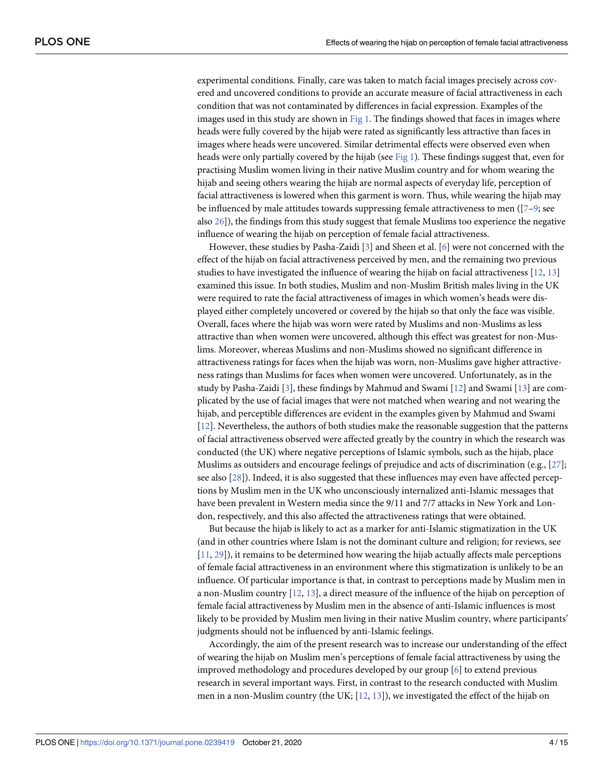<span id="page-4-0"></span>experimental conditions. Finally, care was taken to match facial images precisely across covered and uncovered conditions to provide an accurate measure of facial attractiveness in each condition that was not contaminated by differences in facial expression. Examples of the images used in this study are shown in  $Fig 1$  $Fig 1$ . The findings showed that faces in images where heads were fully covered by the hijab were rated as significantly less attractive than faces in images where heads were uncovered. Similar detrimental effects were observed even when heads were only partially covered by the hijab (see [Fig](#page-2-0) 1). These findings suggest that, even for practising Muslim women living in their native Muslim country and for whom wearing the hijab and seeing others wearing the hijab are normal aspects of everyday life, perception of facial attractiveness is lowered when this garment is worn. Thus, while wearing the hijab may be influenced by male attitudes towards suppressing female attractiveness to men ( $[7-9; \text{see}]$ also [26](#page-14-0)]), the findings from this study suggest that female Muslims too experience the negative influence of wearing the hijab on perception of female facial attractiveness.

However, these studies by Pasha-Zaidi [\[3\]](#page-13-0) and Sheen et al. [\[6\]](#page-13-0) were not concerned with the effect of the hijab on facial attractiveness perceived by men, and the remaining two previous studies to have investigated the influence of wearing the hijab on facial attractiveness [\[12,](#page-13-0) [13](#page-13-0)] examined this issue. In both studies, Muslim and non-Muslim British males living in the UK were required to rate the facial attractiveness of images in which women's heads were displayed either completely uncovered or covered by the hijab so that only the face was visible. Overall, faces where the hijab was worn were rated by Muslims and non-Muslims as less attractive than when women were uncovered, although this effect was greatest for non-Muslims. Moreover, whereas Muslims and non-Muslims showed no significant difference in attractiveness ratings for faces when the hijab was worn, non-Muslims gave higher attractiveness ratings than Muslims for faces when women were uncovered. Unfortunately, as in the study by Pasha-Zaidi [[3\]](#page-13-0), these findings by Mahmud and Swami [\[12\]](#page-13-0) and Swami [[13](#page-13-0)] are complicated by the use of facial images that were not matched when wearing and not wearing the hijab, and perceptible differences are evident in the examples given by Mahmud and Swami [\[12\]](#page-13-0). Nevertheless, the authors of both studies make the reasonable suggestion that the patterns of facial attractiveness observed were affected greatly by the country in which the research was conducted (the UK) where negative perceptions of Islamic symbols, such as the hijab, place Muslims as outsiders and encourage feelings of prejudice and acts of discrimination (e.g., [\[27\]](#page-14-0); see also [\[28\]](#page-14-0)). Indeed, it is also suggested that these influences may even have affected perceptions by Muslim men in the UK who unconsciously internalized anti-Islamic messages that have been prevalent in Western media since the 9/11 and 7/7 attacks in New York and London, respectively, and this also affected the attractiveness ratings that were obtained.

But because the hijab is likely to act as a marker for anti-Islamic stigmatization in the UK (and in other countries where Islam is not the dominant culture and religion; for reviews, see [\[11,](#page-13-0) [29\]](#page-14-0)), it remains to be determined how wearing the hijab actually affects male perceptions of female facial attractiveness in an environment where this stigmatization is unlikely to be an influence. Of particular importance is that, in contrast to perceptions made by Muslim men in a non-Muslim country [\[12,](#page-13-0) [13\]](#page-13-0), a direct measure of the influence of the hijab on perception of female facial attractiveness by Muslim men in the absence of anti-Islamic influences is most likely to be provided by Muslim men living in their native Muslim country, where participants' judgments should not be influenced by anti-Islamic feelings.

Accordingly, the aim of the present research was to increase our understanding of the effect of wearing the hijab on Muslim men's perceptions of female facial attractiveness by using the improved methodology and procedures developed by our group [\[6](#page-13-0)] to extend previous research in several important ways. First, in contrast to the research conducted with Muslim men in a non-Muslim country (the UK;  $[12, 13]$  $[12, 13]$  $[12, 13]$ ), we investigated the effect of the hijab on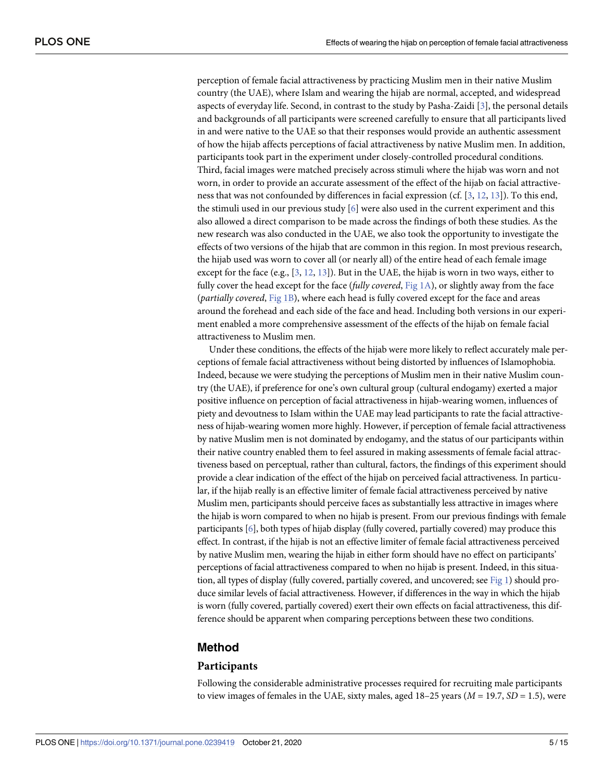perception of female facial attractiveness by practicing Muslim men in their native Muslim country (the UAE), where Islam and wearing the hijab are normal, accepted, and widespread aspects of everyday life. Second, in contrast to the study by Pasha-Zaidi [[3\]](#page-13-0), the personal details and backgrounds of all participants were screened carefully to ensure that all participants lived in and were native to the UAE so that their responses would provide an authentic assessment of how the hijab affects perceptions of facial attractiveness by native Muslim men. In addition, participants took part in the experiment under closely-controlled procedural conditions. Third, facial images were matched precisely across stimuli where the hijab was worn and not worn, in order to provide an accurate assessment of the effect of the hijab on facial attractiveness that was not confounded by differences in facial expression (cf. [\[3,](#page-13-0) [12,](#page-13-0) [13\]](#page-13-0)). To this end, the stimuli used in our previous study [[6\]](#page-13-0) were also used in the current experiment and this also allowed a direct comparison to be made across the findings of both these studies. As the new research was also conducted in the UAE, we also took the opportunity to investigate the effects of two versions of the hijab that are common in this region. In most previous research, the hijab used was worn to cover all (or nearly all) of the entire head of each female image except for the face (e.g., [[3,](#page-13-0) [12,](#page-13-0) [13](#page-13-0)]). But in the UAE, the hijab is worn in two ways, either to fully cover the head except for the face (*fully covered*, [Fig](#page-2-0) 1A), or slightly away from the face (*partially covered*, [Fig](#page-2-0) 1B), where each head is fully covered except for the face and areas around the forehead and each side of the face and head. Including both versions in our experiment enabled a more comprehensive assessment of the effects of the hijab on female facial attractiveness to Muslim men.

Under these conditions, the effects of the hijab were more likely to reflect accurately male perceptions of female facial attractiveness without being distorted by influences of Islamophobia. Indeed, because we were studying the perceptions of Muslim men in their native Muslim country (the UAE), if preference for one's own cultural group (cultural endogamy) exerted a major positive influence on perception of facial attractiveness in hijab-wearing women, influences of piety and devoutness to Islam within the UAE may lead participants to rate the facial attractiveness of hijab-wearing women more highly. However, if perception of female facial attractiveness by native Muslim men is not dominated by endogamy, and the status of our participants within their native country enabled them to feel assured in making assessments of female facial attractiveness based on perceptual, rather than cultural, factors, the findings of this experiment should provide a clear indication of the effect of the hijab on perceived facial attractiveness. In particular, if the hijab really is an effective limiter of female facial attractiveness perceived by native Muslim men, participants should perceive faces as substantially less attractive in images where the hijab is worn compared to when no hijab is present. From our previous findings with female participants [[6](#page-13-0)], both types of hijab display (fully covered, partially covered) may produce this effect. In contrast, if the hijab is not an effective limiter of female facial attractiveness perceived by native Muslim men, wearing the hijab in either form should have no effect on participants' perceptions of facial attractiveness compared to when no hijab is present. Indeed, in this situation, all types of display (fully covered, partially covered, and uncovered; see [Fig](#page-2-0) 1) should produce similar levels of facial attractiveness. However, if differences in the way in which the hijab is worn (fully covered, partially covered) exert their own effects on facial attractiveness, this difference should be apparent when comparing perceptions between these two conditions.

#### **Method**

#### **Participants**

Following the considerable administrative processes required for recruiting male participants to view images of females in the UAE, sixty males, aged  $18-25$  years ( $M = 19.7$ ,  $SD = 1.5$ ), were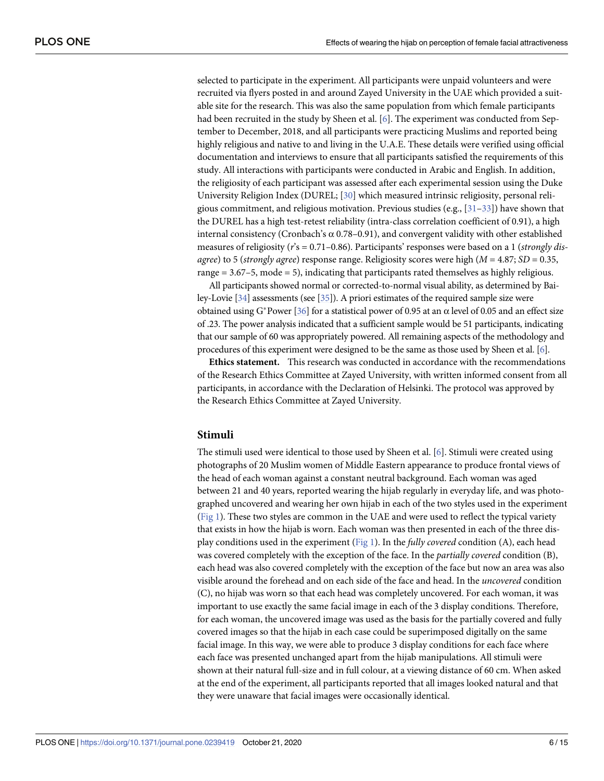<span id="page-6-0"></span>selected to participate in the experiment. All participants were unpaid volunteers and were recruited via flyers posted in and around Zayed University in the UAE which provided a suitable site for the research. This was also the same population from which female participants had been recruited in the study by Sheen et al. [[6\]](#page-13-0). The experiment was conducted from September to December, 2018, and all participants were practicing Muslims and reported being highly religious and native to and living in the U.A.E. These details were verified using official documentation and interviews to ensure that all participants satisfied the requirements of this study. All interactions with participants were conducted in Arabic and English. In addition, the religiosity of each participant was assessed after each experimental session using the Duke University Religion Index (DUREL; [\[30\]](#page-14-0) which measured intrinsic religiosity, personal religious commitment, and religious motivation. Previous studies (e.g., [[31](#page-14-0)–[33](#page-14-0)]) have shown that the DUREL has a high test-retest reliability (intra-class correlation coefficient of 0.91), a high internal consistency (Cronbach's  $\alpha$  0.78–0.91), and convergent validity with other established measures of religiosity (*r*'s = 0.71–0.86). Participants' responses were based on a 1 (*strongly disagree*) to 5 (*strongly agree*) response range. Religiosity scores were high  $(M = 4.87; SD = 0.35$ , range = 3.67–5, mode = 5), indicating that participants rated themselves as highly religious.

All participants showed normal or corrected-to-normal visual ability, as determined by Bailey-Lovie [\[34](#page-14-0)] assessments (see [\[35](#page-14-0)]). A priori estimates of the required sample size were obtained using G<sup>\*</sup>Power [\[36\]](#page-14-0) for a statistical power of 0.95 at an α level of 0.05 and an effect size of .23. The power analysis indicated that a sufficient sample would be 51 participants, indicating that our sample of 60 was appropriately powered. All remaining aspects of the methodology and procedures of this experiment were designed to be the same as those used by Sheen et al. [\[6](#page-13-0)].

**Ethics statement.** This research was conducted in accordance with the recommendations of the Research Ethics Committee at Zayed University, with written informed consent from all participants, in accordance with the Declaration of Helsinki. The protocol was approved by the Research Ethics Committee at Zayed University.

#### **Stimuli**

The stimuli used were identical to those used by Sheen et al. [[6](#page-13-0)]. Stimuli were created using photographs of 20 Muslim women of Middle Eastern appearance to produce frontal views of the head of each woman against a constant neutral background. Each woman was aged between 21 and 40 years, reported wearing the hijab regularly in everyday life, and was photographed uncovered and wearing her own hijab in each of the two styles used in the experiment [\(Fig](#page-2-0) 1). These two styles are common in the UAE and were used to reflect the typical variety that exists in how the hijab is worn. Each woman was then presented in each of the three display conditions used in the experiment [\(Fig](#page-2-0) 1). In the *fully covered* condition (A), each head was covered completely with the exception of the face. In the *partially covered* condition (B), each head was also covered completely with the exception of the face but now an area was also visible around the forehead and on each side of the face and head. In the *uncovered* condition (C), no hijab was worn so that each head was completely uncovered. For each woman, it was important to use exactly the same facial image in each of the 3 display conditions. Therefore, for each woman, the uncovered image was used as the basis for the partially covered and fully covered images so that the hijab in each case could be superimposed digitally on the same facial image. In this way, we were able to produce 3 display conditions for each face where each face was presented unchanged apart from the hijab manipulations. All stimuli were shown at their natural full-size and in full colour, at a viewing distance of 60 cm. When asked at the end of the experiment, all participants reported that all images looked natural and that they were unaware that facial images were occasionally identical.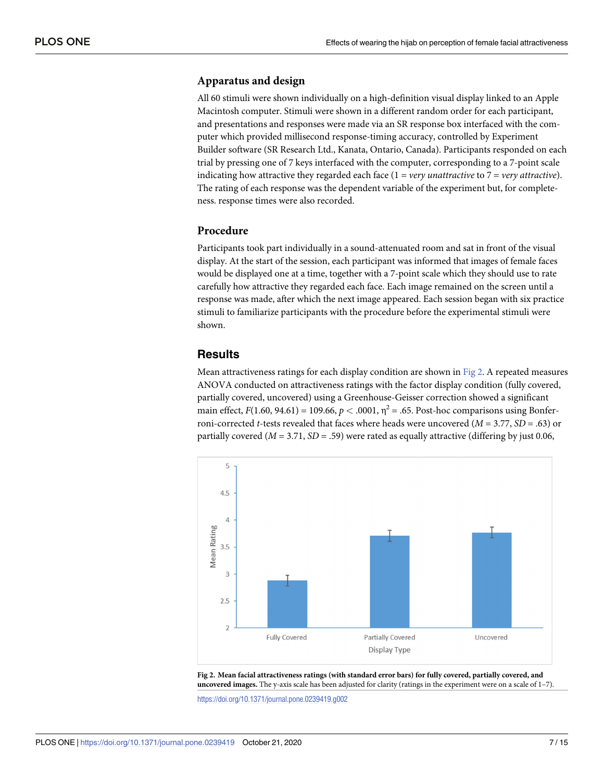# **Apparatus and design**

All 60 stimuli were shown individually on a high-definition visual display linked to an Apple Macintosh computer. Stimuli were shown in a different random order for each participant, and presentations and responses were made via an SR response box interfaced with the computer which provided millisecond response-timing accuracy, controlled by Experiment Builder software (SR Research Ltd., Kanata, Ontario, Canada). Participants responded on each trial by pressing one of 7 keys interfaced with the computer, corresponding to a 7-point scale indicating how attractive they regarded each face (1 = *very unattractive* to 7 = *very attractive*). The rating of each response was the dependent variable of the experiment but, for completeness. response times were also recorded.

#### **Procedure**

Participants took part individually in a sound-attenuated room and sat in front of the visual display. At the start of the session, each participant was informed that images of female faces would be displayed one at a time, together with a 7-point scale which they should use to rate carefully how attractive they regarded each face. Each image remained on the screen until a response was made, after which the next image appeared. Each session began with six practice stimuli to familiarize participants with the procedure before the experimental stimuli were shown.

## **Results**

Mean attractiveness ratings for each display condition are shown in Fig 2. A repeated measures ANOVA conducted on attractiveness ratings with the factor display condition (fully covered, partially covered, uncovered) using a Greenhouse-Geisser correction showed a significant main effect,  $F(1.60, 94.61) = 109.66$ ,  $p < .0001$ ,  $\eta^2 = .65$ . Post-hoc comparisons using Bonferroni-corrected *t*-tests revealed that faces where heads were uncovered (*M* = 3.77, *SD* = .63) or partially covered  $(M = 3.71, SD = .59)$  were rated as equally attractive (differing by just 0.06,



**Fig 2. Mean facial attractiveness ratings (with standard error bars) for fully covered, partially covered, and uncovered images.** The y-axis scale has been adjusted for clarity (ratings in the experiment were on a scale of 1–7).

<https://doi.org/10.1371/journal.pone.0239419.g002>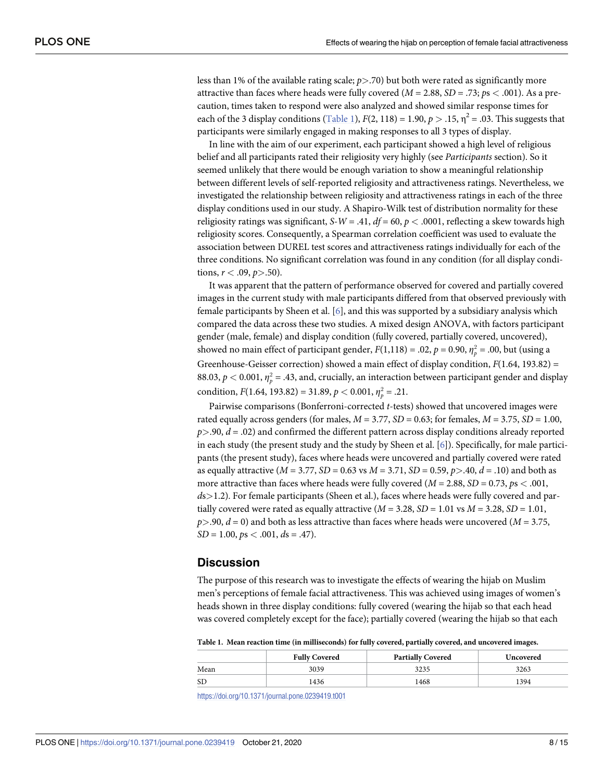less than 1% of the available rating scale; *p>*.70) but both were rated as significantly more attractive than faces where heads were fully covered (*M* = 2.88, *SD* = .73; *p*s *<* .001). As a precaution, times taken to respond were also analyzed and showed similar response times for each of the 3 display conditions (Table 1),  $F(2, 118) = 1.90$ ,  $p > .15$ ,  $\eta^2 = .03$ . This suggests that participants were similarly engaged in making responses to all 3 types of display.

In line with the aim of our experiment, each participant showed a high level of religious belief and all participants rated their religiosity very highly (see *Participants* section). So it seemed unlikely that there would be enough variation to show a meaningful relationship between different levels of self-reported religiosity and attractiveness ratings. Nevertheless, we investigated the relationship between religiosity and attractiveness ratings in each of the three display conditions used in our study. A Shapiro-Wilk test of distribution normality for these religiosity ratings was significant,  $S-W = .41$ ,  $df = 60$ ,  $p < .0001$ , reflecting a skew towards high religiosity scores. Consequently, a Spearman correlation coefficient was used to evaluate the association between DUREL test scores and attractiveness ratings individually for each of the three conditions. No significant correlation was found in any condition (for all display conditions,  $r < .09$ ,  $p > .50$ ).

It was apparent that the pattern of performance observed for covered and partially covered images in the current study with male participants differed from that observed previously with female participants by Sheen et al. [\[6\]](#page-13-0), and this was supported by a subsidiary analysis which compared the data across these two studies. A mixed design ANOVA, with factors participant gender (male, female) and display condition (fully covered, partially covered, uncovered), showed no main effect of participant gender,  $F(1,118) = .02$ ,  $p = 0.90$ ,  $\eta_p^2 = .00$ , but (using a Greenhouse-Geisser correction) showed a main effect of display condition, *F*(1.64, 193.82) = 88.03,  $p < 0.001$ ,  $\eta_p^2 = .43$ , and, crucially, an interaction between participant gender and display condition,  $F(1.64, 193.82) = 31.89, p < 0.001, \eta_p^2 = .21$ .

Pairwise comparisons (Bonferroni-corrected *t*-tests) showed that uncovered images were rated equally across genders (for males,  $M = 3.77$ ,  $SD = 0.63$ ; for females,  $M = 3.75$ ,  $SD = 1.00$ , *p>*.90, *d* = .02) and confirmed the different pattern across display conditions already reported in each study (the present study and the study by Sheen et al. [\[6\]](#page-13-0)). Specifically, for male participants (the present study), faces where heads were uncovered and partially covered were rated as equally attractive (*M* = 3.77, *SD* = 0.63 vs *M* = 3.71, *SD* = 0.59, *p>*.40, *d* = .10) and both as more attractive than faces where heads were fully covered (*M* = 2.88, *SD* = 0.73, *p*s *<* .001, *d*s*>*1.2). For female participants (Sheen et al.), faces where heads were fully covered and partially covered were rated as equally attractive  $(M = 3.28, SD = 1.01$  vs  $M = 3.28, SD = 1.01$ ,  $p$ *>*.90,  $d$  = 0) and both as less attractive than faces where heads were uncovered ( $M$  = 3.75, *SD* = 1.00, *p*s *<* .001, *d*s = .47).

#### **Discussion**

The purpose of this research was to investigate the effects of wearing the hijab on Muslim men's perceptions of female facial attractiveness. This was achieved using images of women's heads shown in three display conditions: fully covered (wearing the hijab so that each head was covered completely except for the face); partially covered (wearing the hijab so that each

**Table 1. Mean reaction time (in milliseconds) for fully covered, partially covered, and uncovered images.**

|      | <b>Fully Covered</b> | <b>Partially Covered</b> | Uncovered |
|------|----------------------|--------------------------|-----------|
| Mean | 3039                 | 3235                     | 3263      |
| -SD  | 1436                 | 1468                     | 1394      |

<https://doi.org/10.1371/journal.pone.0239419.t001>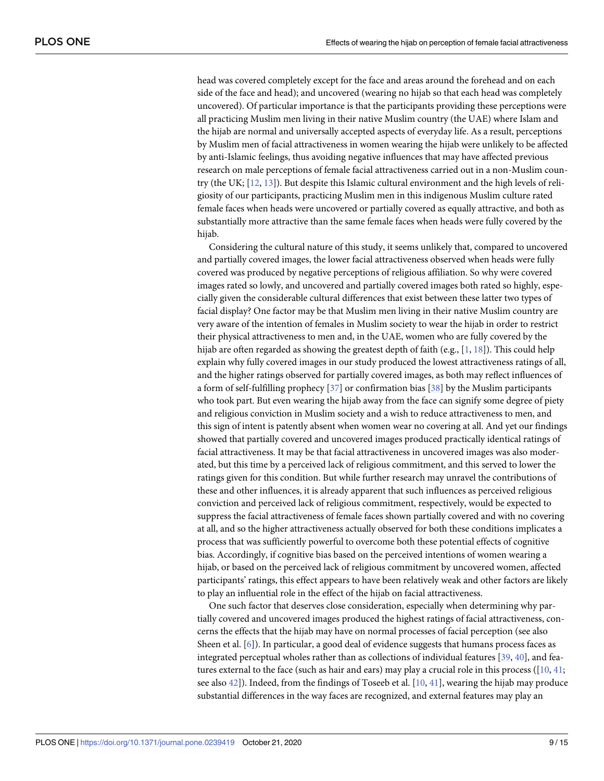<span id="page-9-0"></span>head was covered completely except for the face and areas around the forehead and on each side of the face and head); and uncovered (wearing no hijab so that each head was completely uncovered). Of particular importance is that the participants providing these perceptions were all practicing Muslim men living in their native Muslim country (the UAE) where Islam and the hijab are normal and universally accepted aspects of everyday life. As a result, perceptions by Muslim men of facial attractiveness in women wearing the hijab were unlikely to be affected by anti-Islamic feelings, thus avoiding negative influences that may have affected previous research on male perceptions of female facial attractiveness carried out in a non-Muslim country (the UK; [\[12,](#page-13-0) [13\]](#page-13-0)). But despite this Islamic cultural environment and the high levels of religiosity of our participants, practicing Muslim men in this indigenous Muslim culture rated female faces when heads were uncovered or partially covered as equally attractive, and both as substantially more attractive than the same female faces when heads were fully covered by the hijab.

Considering the cultural nature of this study, it seems unlikely that, compared to uncovered and partially covered images, the lower facial attractiveness observed when heads were fully covered was produced by negative perceptions of religious affiliation. So why were covered images rated so lowly, and uncovered and partially covered images both rated so highly, especially given the considerable cultural differences that exist between these latter two types of facial display? One factor may be that Muslim men living in their native Muslim country are very aware of the intention of females in Muslim society to wear the hijab in order to restrict their physical attractiveness to men and, in the UAE, women who are fully covered by the hijab are often regarded as showing the greatest depth of faith (e.g.,  $[1, 18]$  $[1, 18]$  $[1, 18]$ ). This could help explain why fully covered images in our study produced the lowest attractiveness ratings of all, and the higher ratings observed for partially covered images, as both may reflect influences of a form of self-fulfilling prophecy [[37](#page-14-0)] or confirmation bias [[38](#page-14-0)] by the Muslim participants who took part. But even wearing the hijab away from the face can signify some degree of piety and religious conviction in Muslim society and a wish to reduce attractiveness to men, and this sign of intent is patently absent when women wear no covering at all. And yet our findings showed that partially covered and uncovered images produced practically identical ratings of facial attractiveness. It may be that facial attractiveness in uncovered images was also moderated, but this time by a perceived lack of religious commitment, and this served to lower the ratings given for this condition. But while further research may unravel the contributions of these and other influences, it is already apparent that such influences as perceived religious conviction and perceived lack of religious commitment, respectively, would be expected to suppress the facial attractiveness of female faces shown partially covered and with no covering at all, and so the higher attractiveness actually observed for both these conditions implicates a process that was sufficiently powerful to overcome both these potential effects of cognitive bias. Accordingly, if cognitive bias based on the perceived intentions of women wearing a hijab, or based on the perceived lack of religious commitment by uncovered women, affected participants' ratings, this effect appears to have been relatively weak and other factors are likely to play an influential role in the effect of the hijab on facial attractiveness.

One such factor that deserves close consideration, especially when determining why partially covered and uncovered images produced the highest ratings of facial attractiveness, concerns the effects that the hijab may have on normal processes of facial perception (see also Sheen et al. [\[6\]](#page-13-0)). In particular, a good deal of evidence suggests that humans process faces as integrated perceptual wholes rather than as collections of individual features [\[39,](#page-14-0) [40](#page-14-0)], and features external to the face (such as hair and ears) may play a crucial role in this process ( $[10, 41;$  $[10, 41;$  $[10, 41;$ see also  $42$ ]). Indeed, from the findings of Toseeb et al. [\[10,](#page-13-0) [41\]](#page-14-0), wearing the hijab may produce substantial differences in the way faces are recognized, and external features may play an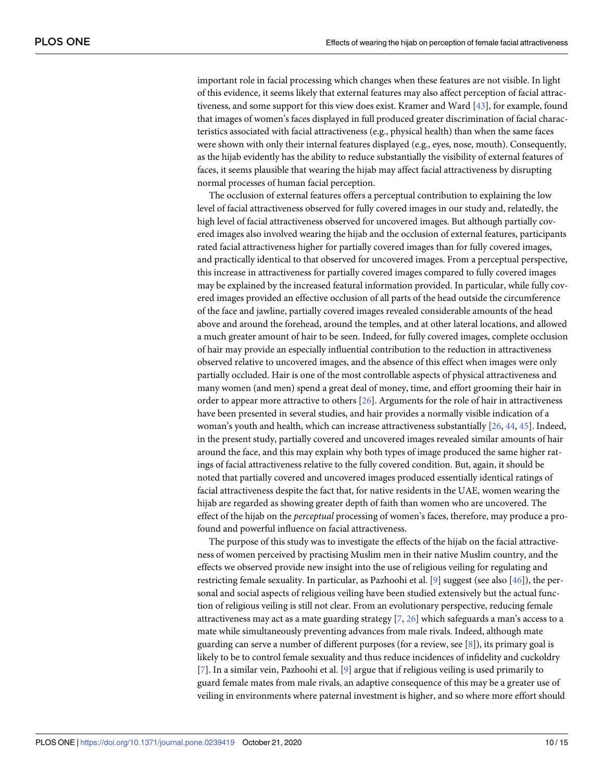<span id="page-10-0"></span>important role in facial processing which changes when these features are not visible. In light of this evidence, it seems likely that external features may also affect perception of facial attractiveness, and some support for this view does exist. Kramer and Ward [[43](#page-14-0)], for example, found that images of women's faces displayed in full produced greater discrimination of facial characteristics associated with facial attractiveness (e.g., physical health) than when the same faces were shown with only their internal features displayed (e.g., eyes, nose, mouth). Consequently, as the hijab evidently has the ability to reduce substantially the visibility of external features of faces, it seems plausible that wearing the hijab may affect facial attractiveness by disrupting normal processes of human facial perception.

The occlusion of external features offers a perceptual contribution to explaining the low level of facial attractiveness observed for fully covered images in our study and, relatedly, the high level of facial attractiveness observed for uncovered images. But although partially covered images also involved wearing the hijab and the occlusion of external features, participants rated facial attractiveness higher for partially covered images than for fully covered images, and practically identical to that observed for uncovered images. From a perceptual perspective, this increase in attractiveness for partially covered images compared to fully covered images may be explained by the increased featural information provided. In particular, while fully covered images provided an effective occlusion of all parts of the head outside the circumference of the face and jawline, partially covered images revealed considerable amounts of the head above and around the forehead, around the temples, and at other lateral locations, and allowed a much greater amount of hair to be seen. Indeed, for fully covered images, complete occlusion of hair may provide an especially influential contribution to the reduction in attractiveness observed relative to uncovered images, and the absence of this effect when images were only partially occluded. Hair is one of the most controllable aspects of physical attractiveness and many women (and men) spend a great deal of money, time, and effort grooming their hair in order to appear more attractive to others [\[26\]](#page-14-0). Arguments for the role of hair in attractiveness have been presented in several studies, and hair provides a normally visible indication of a woman's youth and health, which can increase attractiveness substantially [[26](#page-14-0), [44](#page-14-0), [45](#page-14-0)]. Indeed, in the present study, partially covered and uncovered images revealed similar amounts of hair around the face, and this may explain why both types of image produced the same higher ratings of facial attractiveness relative to the fully covered condition. But, again, it should be noted that partially covered and uncovered images produced essentially identical ratings of facial attractiveness despite the fact that, for native residents in the UAE, women wearing the hijab are regarded as showing greater depth of faith than women who are uncovered. The effect of the hijab on the *perceptual* processing of women's faces, therefore, may produce a profound and powerful influence on facial attractiveness.

The purpose of this study was to investigate the effects of the hijab on the facial attractiveness of women perceived by practising Muslim men in their native Muslim country, and the effects we observed provide new insight into the use of religious veiling for regulating and restricting female sexuality. In particular, as Pazhoohi et al. [\[9\]](#page-13-0) suggest (see also [[46](#page-14-0)]), the personal and social aspects of religious veiling have been studied extensively but the actual function of religious veiling is still not clear. From an evolutionary perspective, reducing female attractiveness may act as a mate guarding strategy [[7,](#page-13-0) [26\]](#page-14-0) which safeguards a man's access to a mate while simultaneously preventing advances from male rivals. Indeed, although mate guarding can serve a number of different purposes (for a review, see  $[8]$  $[8]$ ), its primary goal is likely to be to control female sexuality and thus reduce incidences of infidelity and cuckoldry [\[7](#page-13-0)]. In a similar vein, Pazhoohi et al. [[9](#page-13-0)] argue that if religious veiling is used primarily to guard female mates from male rivals, an adaptive consequence of this may be a greater use of veiling in environments where paternal investment is higher, and so where more effort should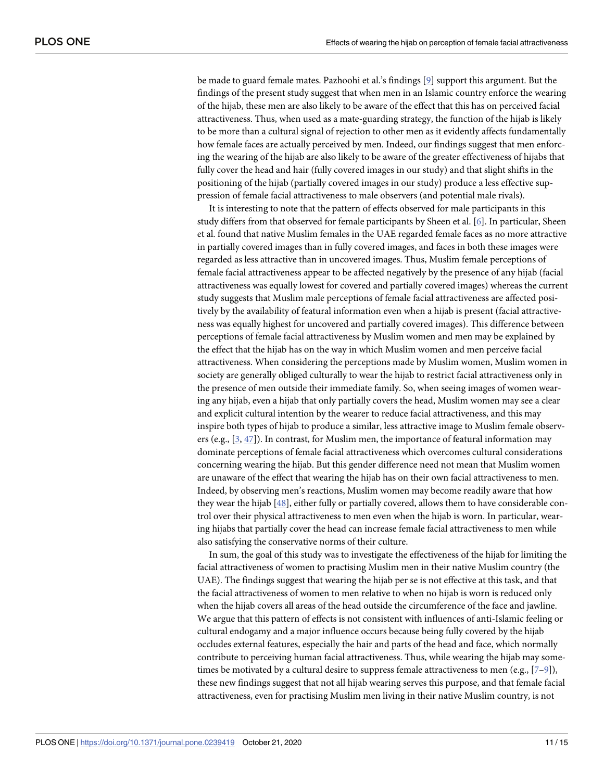<span id="page-11-0"></span>be made to guard female mates. Pazhoohi et al.'s findings [\[9\]](#page-13-0) support this argument. But the findings of the present study suggest that when men in an Islamic country enforce the wearing of the hijab, these men are also likely to be aware of the effect that this has on perceived facial attractiveness. Thus, when used as a mate-guarding strategy, the function of the hijab is likely to be more than a cultural signal of rejection to other men as it evidently affects fundamentally how female faces are actually perceived by men. Indeed, our findings suggest that men enforcing the wearing of the hijab are also likely to be aware of the greater effectiveness of hijabs that fully cover the head and hair (fully covered images in our study) and that slight shifts in the positioning of the hijab (partially covered images in our study) produce a less effective suppression of female facial attractiveness to male observers (and potential male rivals).

It is interesting to note that the pattern of effects observed for male participants in this study differs from that observed for female participants by Sheen et al. [\[6\]](#page-13-0). In particular, Sheen et al. found that native Muslim females in the UAE regarded female faces as no more attractive in partially covered images than in fully covered images, and faces in both these images were regarded as less attractive than in uncovered images. Thus, Muslim female perceptions of female facial attractiveness appear to be affected negatively by the presence of any hijab (facial attractiveness was equally lowest for covered and partially covered images) whereas the current study suggests that Muslim male perceptions of female facial attractiveness are affected positively by the availability of featural information even when a hijab is present (facial attractiveness was equally highest for uncovered and partially covered images). This difference between perceptions of female facial attractiveness by Muslim women and men may be explained by the effect that the hijab has on the way in which Muslim women and men perceive facial attractiveness. When considering the perceptions made by Muslim women, Muslim women in society are generally obliged culturally to wear the hijab to restrict facial attractiveness only in the presence of men outside their immediate family. So, when seeing images of women wearing any hijab, even a hijab that only partially covers the head, Muslim women may see a clear and explicit cultural intention by the wearer to reduce facial attractiveness, and this may inspire both types of hijab to produce a similar, less attractive image to Muslim female observers (e.g.,  $[3, 47]$  $[3, 47]$  $[3, 47]$  $[3, 47]$ ). In contrast, for Muslim men, the importance of featural information may dominate perceptions of female facial attractiveness which overcomes cultural considerations concerning wearing the hijab. But this gender difference need not mean that Muslim women are unaware of the effect that wearing the hijab has on their own facial attractiveness to men. Indeed, by observing men's reactions, Muslim women may become readily aware that how they wear the hijab [[48](#page-14-0)], either fully or partially covered, allows them to have considerable control over their physical attractiveness to men even when the hijab is worn. In particular, wearing hijabs that partially cover the head can increase female facial attractiveness to men while also satisfying the conservative norms of their culture.

In sum, the goal of this study was to investigate the effectiveness of the hijab for limiting the facial attractiveness of women to practising Muslim men in their native Muslim country (the UAE). The findings suggest that wearing the hijab per se is not effective at this task, and that the facial attractiveness of women to men relative to when no hijab is worn is reduced only when the hijab covers all areas of the head outside the circumference of the face and jawline. We argue that this pattern of effects is not consistent with influences of anti-Islamic feeling or cultural endogamy and a major influence occurs because being fully covered by the hijab occludes external features, especially the hair and parts of the head and face, which normally contribute to perceiving human facial attractiveness. Thus, while wearing the hijab may sometimes be motivated by a cultural desire to suppress female attractiveness to men (e.g.,  $[7-9]$ ), these new findings suggest that not all hijab wearing serves this purpose, and that female facial attractiveness, even for practising Muslim men living in their native Muslim country, is not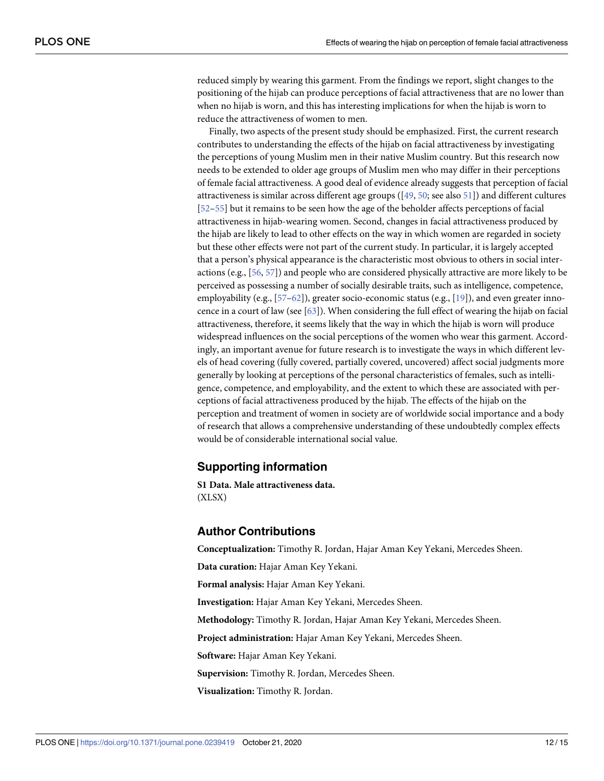<span id="page-12-0"></span>reduced simply by wearing this garment. From the findings we report, slight changes to the positioning of the hijab can produce perceptions of facial attractiveness that are no lower than when no hijab is worn, and this has interesting implications for when the hijab is worn to reduce the attractiveness of women to men.

Finally, two aspects of the present study should be emphasized. First, the current research contributes to understanding the effects of the hijab on facial attractiveness by investigating the perceptions of young Muslim men in their native Muslim country. But this research now needs to be extended to older age groups of Muslim men who may differ in their perceptions of female facial attractiveness. A good deal of evidence already suggests that perception of facial attractiveness is similar across different age groups ([[49](#page-14-0), [50](#page-15-0); see also [51](#page-15-0)]) and different cultures [\[52–55\]](#page-15-0) but it remains to be seen how the age of the beholder affects perceptions of facial attractiveness in hijab-wearing women. Second, changes in facial attractiveness produced by the hijab are likely to lead to other effects on the way in which women are regarded in society but these other effects were not part of the current study. In particular, it is largely accepted that a person's physical appearance is the characteristic most obvious to others in social interactions (e.g., [\[56,](#page-15-0) [57\]](#page-15-0)) and people who are considered physically attractive are more likely to be perceived as possessing a number of socially desirable traits, such as intelligence, competence, employability (e.g.,  $[57-62]$ ), greater socio-economic status (e.g.,  $[19]$ ), and even greater innocence in a court of law (see  $[63]$  $[63]$  $[63]$ ). When considering the full effect of wearing the hijab on facial attractiveness, therefore, it seems likely that the way in which the hijab is worn will produce widespread influences on the social perceptions of the women who wear this garment. Accordingly, an important avenue for future research is to investigate the ways in which different levels of head covering (fully covered, partially covered, uncovered) affect social judgments more generally by looking at perceptions of the personal characteristics of females, such as intelligence, competence, and employability, and the extent to which these are associated with perceptions of facial attractiveness produced by the hijab. The effects of the hijab on the perception and treatment of women in society are of worldwide social importance and a body of research that allows a comprehensive understanding of these undoubtedly complex effects would be of considerable international social value.

# **Supporting information**

**S1 [Data](http://www.plosone.org/article/fetchSingleRepresentation.action?uri=info:doi/10.1371/journal.pone.0239419.s001). Male attractiveness data.** (XLSX)

# **Author Contributions**

**Conceptualization:** Timothy R. Jordan, Hajar Aman Key Yekani, Mercedes Sheen.

**Data curation:** Hajar Aman Key Yekani.

**Formal analysis:** Hajar Aman Key Yekani.

**Investigation:** Hajar Aman Key Yekani, Mercedes Sheen.

**Methodology:** Timothy R. Jordan, Hajar Aman Key Yekani, Mercedes Sheen.

**Project administration:** Hajar Aman Key Yekani, Mercedes Sheen.

**Software:** Hajar Aman Key Yekani.

**Supervision:** Timothy R. Jordan, Mercedes Sheen.

**Visualization:** Timothy R. Jordan.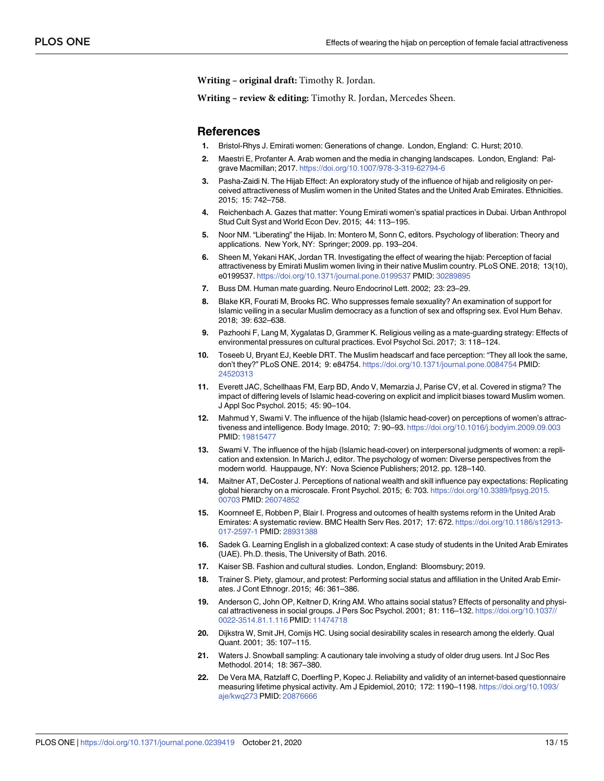<span id="page-13-0"></span>**Writing – original draft:** Timothy R. Jordan.

**Writing – review & editing:** Timothy R. Jordan, Mercedes Sheen.

#### **References**

- **[1](#page-2-0).** Bristol-Rhys J. Emirati women: Generations of change. London, England: C. Hurst; 2010.
- **2.** Maestri E, Profanter A. Arab women and the media in changing landscapes. London, England: Palgrave Macmillan; 2017. <https://doi.org/10.1007/978-3-319-62794-6>
- **[3](#page-2-0).** Pasha-Zaidi N. The Hijab Effect: An exploratory study of the influence of hijab and religiosity on perceived attractiveness of Muslim women in the United States and the United Arab Emirates. Ethnicities. 2015; 15: 742–758.
- **[4](#page-2-0).** Reichenbach A. Gazes that matter: Young Emirati women's spatial practices in Dubai. Urban Anthropol Stud Cult Syst and World Econ Dev. 2015; 44: 113–195.
- **[5](#page-2-0).** Noor NM. "Liberating" the Hijab. In: Montero M, Sonn C, editors. Psychology of liberation: Theory and applications. New York, NY: Springer; 2009. pp. 193–204.
- **[6](#page-2-0).** Sheen M, Yekani HAK, Jordan TR. Investigating the effect of wearing the hijab: Perception of facial attractiveness by Emirati Muslim women living in their native Muslim country. PLoS ONE. 2018; 13(10), e0199537. <https://doi.org/10.1371/journal.pone.0199537> PMID: [30289895](http://www.ncbi.nlm.nih.gov/pubmed/30289895)
- **[7](#page-2-0).** Buss DM. Human mate guarding. Neuro Endocrinol Lett. 2002; 23: 23–29.
- **[8](#page-2-0).** Blake KR, Fourati M, Brooks RC. Who suppresses female sexuality? An examination of support for Islamic veiling in a secular Muslim democracy as a function of sex and offspring sex. Evol Hum Behav. 2018; 39: 632–638.
- **[9](#page-2-0).** Pazhoohi F, Lang M, Xygalatas D, Grammer K. Religious veiling as a mate-guarding strategy: Effects of environmental pressures on cultural practices. Evol Psychol Sci. 2017; 3: 118–124.
- **[10](#page-2-0).** Toseeb U, Bryant EJ, Keeble DRT. The Muslim headscarf and face perception: "They all look the same, don't they?" PLoS ONE. 2014; 9: e84754. <https://doi.org/10.1371/journal.pone.0084754> PMID: [24520313](http://www.ncbi.nlm.nih.gov/pubmed/24520313)
- **[11](#page-2-0).** Everett JAC, Schellhaas FM, Earp BD, Ando V, Memarzia J, Parise CV, et al. Covered in stigma? The impact of differing levels of Islamic head-covering on explicit and implicit biases toward Muslim women. J Appl Soc Psychol. 2015; 45: 90–104.
- **[12](#page-2-0).** Mahmud Y, Swami V. The influence of the hijab (Islamic head-cover) on perceptions of women's attractiveness and intelligence. Body Image. 2010; 7: 90–93. <https://doi.org/10.1016/j.bodyim.2009.09.003> PMID: [19815477](http://www.ncbi.nlm.nih.gov/pubmed/19815477)
- **[13](#page-2-0).** Swami V. The influence of the hijab (Islamic head-cover) on interpersonal judgments of women: a replication and extension. In Marich J, editor. The psychology of women: Diverse perspectives from the modern world. Hauppauge, NY: Nova Science Publishers; 2012. pp. 128–140.
- **[14](#page-3-0).** Maitner AT, DeCoster J. Perceptions of national wealth and skill influence pay expectations: Replicating global hierarchy on a microscale. Front Psychol. 2015; 6: 703. [https://doi.org/10.3389/fpsyg.2015.](https://doi.org/10.3389/fpsyg.2015.00703) [00703](https://doi.org/10.3389/fpsyg.2015.00703) PMID: [26074852](http://www.ncbi.nlm.nih.gov/pubmed/26074852)
- **[15](#page-3-0).** Koornneef E, Robben P, Blair I. Progress and outcomes of health systems reform in the United Arab Emirates: A systematic review. BMC Health Serv Res. 2017; 17: 672. [https://doi.org/10.1186/s12913-](https://doi.org/10.1186/s12913-017-2597-1) [017-2597-1](https://doi.org/10.1186/s12913-017-2597-1) PMID: [28931388](http://www.ncbi.nlm.nih.gov/pubmed/28931388)
- **[16](#page-3-0).** Sadek G. Learning English in a globalized context: A case study of students in the United Arab Emirates (UAE). Ph.D. thesis, The University of Bath. 2016.
- **[17](#page-3-0).** Kaiser SB. Fashion and cultural studies. London, England: Bloomsbury; 2019.
- **[18](#page-3-0).** Trainer S. Piety, glamour, and protest: Performing social status and affiliation in the United Arab Emirates. J Cont Ethnogr. 2015; 46: 361–386.
- **[19](#page-3-0).** Anderson C, John OP, Keltner D, Kring AM. Who attains social status? Effects of personality and physical attractiveness in social groups. J Pers Soc Psychol. 2001; 81: 116–132. [https://doi.org/10.1037//](https://doi.org/10.1037//0022-3514.81.1.116) [0022-3514.81.1.116](https://doi.org/10.1037//0022-3514.81.1.116) PMID: [11474718](http://www.ncbi.nlm.nih.gov/pubmed/11474718)
- **[20](#page-3-0).** Dijkstra W, Smit JH, Comijs HC. Using social desirability scales in research among the elderly. Qual Quant. 2001; 35: 107–115.
- **[21](#page-3-0).** Waters J. Snowball sampling: A cautionary tale involving a study of older drug users. Int J Soc Res Methodol. 2014; 18: 367–380.
- **[22](#page-3-0).** De Vera MA, Ratzlaff C, Doerfling P, Kopec J. Reliability and validity of an internet-based questionnaire measuring lifetime physical activity. Am J Epidemiol, 2010; 172: 1190–1198. [https://doi.org/10.1093/](https://doi.org/10.1093/aje/kwq273) [aje/kwq273](https://doi.org/10.1093/aje/kwq273) PMID: [20876666](http://www.ncbi.nlm.nih.gov/pubmed/20876666)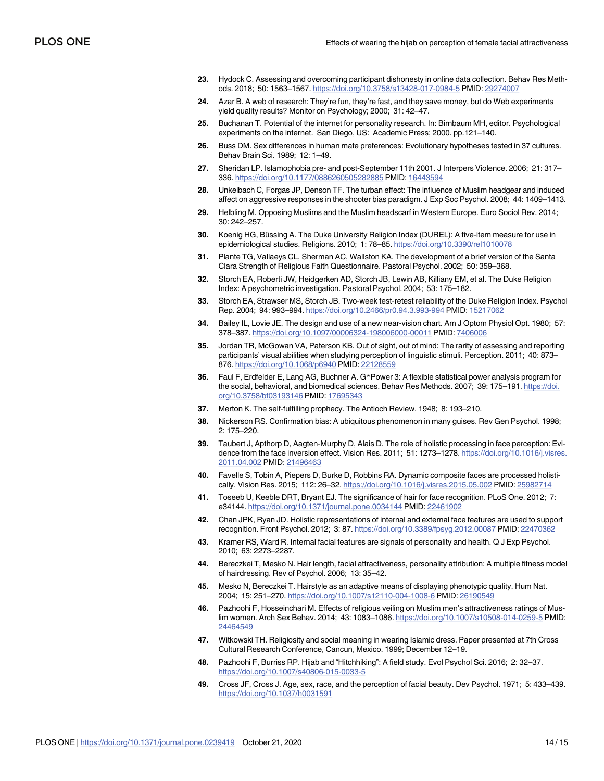- <span id="page-14-0"></span>**[23](#page-3-0).** Hydock C. Assessing and overcoming participant dishonesty in online data collection. Behav Res Methods. 2018; 50: 1563–1567. <https://doi.org/10.3758/s13428-017-0984-5> PMID: [29274007](http://www.ncbi.nlm.nih.gov/pubmed/29274007)
- **[24](#page-3-0).** Azar B. A web of research: They're fun, they're fast, and they save money, but do Web experiments yield quality results? Monitor on Psychology; 2000; 31: 42–47.
- **[25](#page-3-0).** Buchanan T. Potential of the internet for personality research. In: Birnbaum MH, editor. Psychological experiments on the internet. San Diego, US: Academic Press; 2000. pp.121–140.
- **[26](#page-4-0).** Buss DM. Sex differences in human mate preferences: Evolutionary hypotheses tested in 37 cultures. Behav Brain Sci. 1989; 12: 1–49.
- **[27](#page-4-0).** Sheridan LP. Islamophobia pre- and post-September 11th 2001. J Interpers Violence. 2006; 21: 317– 336. <https://doi.org/10.1177/0886260505282885> PMID: [16443594](http://www.ncbi.nlm.nih.gov/pubmed/16443594)
- **[28](#page-4-0).** Unkelbach C, Forgas JP, Denson TF. The turban effect: The influence of Muslim headgear and induced affect on aggressive responses in the shooter bias paradigm. J Exp Soc Psychol. 2008; 44: 1409–1413.
- **[29](#page-4-0).** Helbling M. Opposing Muslims and the Muslim headscarf in Western Europe. Euro Sociol Rev. 2014; 30: 242–257.
- **[30](#page-6-0).** Koenig HG, Büssing A. The Duke University Religion Index (DUREL): A five-item measure for use in epidemiological studies. Religions. 2010; 1: 78–85. <https://doi.org/10.3390/rel1010078>
- **[31](#page-6-0).** Plante TG, Vallaeys CL, Sherman AC, Wallston KA. The development of a brief version of the Santa Clara Strength of Religious Faith Questionnaire. Pastoral Psychol. 2002; 50: 359–368.
- **32.** Storch EA, Roberti JW, Heidgerken AD, Storch JB, Lewin AB, Killiany EM, et al. The Duke Religion Index: A psychometric investigation. Pastoral Psychol. 2004; 53: 175–182.
- **[33](#page-6-0).** Storch EA, Strawser MS, Storch JB. Two-week test-retest reliability of the Duke Religion Index. Psychol Rep. 2004; 94: 993–994. <https://doi.org/10.2466/pr0.94.3.993-994> PMID: [15217062](http://www.ncbi.nlm.nih.gov/pubmed/15217062)
- **[34](#page-6-0).** Bailey IL, Lovie JE. The design and use of a new near-vision chart. Am J Optom Physiol Opt. 1980; 57: 378–387. <https://doi.org/10.1097/00006324-198006000-00011> PMID: [7406006](http://www.ncbi.nlm.nih.gov/pubmed/7406006)
- **[35](#page-6-0).** Jordan TR, McGowan VA, Paterson KB. Out of sight, out of mind: The rarity of assessing and reporting participants' visual abilities when studying perception of linguistic stimuli. Perception. 2011; 40: 873– 876. <https://doi.org/10.1068/p6940> PMID: [22128559](http://www.ncbi.nlm.nih.gov/pubmed/22128559)
- **[36](#page-6-0).** Faul F, Erdfelder E, Lang AG, Buchner A. G\*Power 3: A flexible statistical power analysis program for the social, behavioral, and biomedical sciences. Behav Res Methods. 2007; 39: 175–191. [https://doi.](https://doi.org/10.3758/bf03193146) [org/10.3758/bf03193146](https://doi.org/10.3758/bf03193146) PMID: [17695343](http://www.ncbi.nlm.nih.gov/pubmed/17695343)
- **[37](#page-9-0).** Merton K. The self-fulfilling prophecy. The Antioch Review. 1948; 8: 193–210.
- **[38](#page-9-0).** Nickerson RS. Confirmation bias: A ubiquitous phenomenon in many guises. Rev Gen Psychol. 1998; 2: 175–220.
- **[39](#page-9-0).** Taubert J, Apthorp D, Aagten-Murphy D, Alais D. The role of holistic processing in face perception: Evidence from the face inversion effect. Vision Res. 2011; 51: 1273–1278. [https://doi.org/10.1016/j.visres.](https://doi.org/10.1016/j.visres.2011.04.002) [2011.04.002](https://doi.org/10.1016/j.visres.2011.04.002) PMID: [21496463](http://www.ncbi.nlm.nih.gov/pubmed/21496463)
- **[40](#page-9-0).** Favelle S, Tobin A, Piepers D, Burke D, Robbins RA. Dynamic composite faces are processed holistically. Vision Res. 2015; 112: 26–32. <https://doi.org/10.1016/j.visres.2015.05.002> PMID: [25982714](http://www.ncbi.nlm.nih.gov/pubmed/25982714)
- **[41](#page-9-0).** Toseeb U, Keeble DRT, Bryant EJ. The significance of hair for face recognition. PLoS One. 2012; 7: e34144. <https://doi.org/10.1371/journal.pone.0034144> PMID: [22461902](http://www.ncbi.nlm.nih.gov/pubmed/22461902)
- **[42](#page-9-0).** Chan JPK, Ryan JD. Holistic representations of internal and external face features are used to support recognition. Front Psychol. 2012; 3: 87. <https://doi.org/10.3389/fpsyg.2012.00087> PMID: [22470362](http://www.ncbi.nlm.nih.gov/pubmed/22470362)
- **[43](#page-10-0).** Kramer RS, Ward R. Internal facial features are signals of personality and health. Q J Exp Psychol. 2010; 63: 2273–2287.
- **[44](#page-10-0).** Bereczkei T, Mesko N. Hair length, facial attractiveness, personality attribution: A multiple fitness model of hairdressing. Rev of Psychol. 2006; 13: 35–42.
- **[45](#page-10-0).** Mesko N, Bereczkei T. Hairstyle as an adaptive means of displaying phenotypic quality. Hum Nat. 2004; 15: 251–270. <https://doi.org/10.1007/s12110-004-1008-6> PMID: [26190549](http://www.ncbi.nlm.nih.gov/pubmed/26190549)
- **[46](#page-10-0).** Pazhoohi F, Hosseinchari M. Effects of religious veiling on Muslim men's attractiveness ratings of Muslim women. Arch Sex Behav. 2014; 43: 1083–1086. <https://doi.org/10.1007/s10508-014-0259-5> PMID: [24464549](http://www.ncbi.nlm.nih.gov/pubmed/24464549)
- **[47](#page-11-0).** Witkowski TH. Religiosity and social meaning in wearing Islamic dress. Paper presented at 7th Cross Cultural Research Conference, Cancun, Mexico. 1999; December 12–19.
- **[48](#page-11-0).** Pazhoohi F, Burriss RP. Hijab and "Hitchhiking": A field study. Evol Psychol Sci. 2016; 2: 32–37. <https://doi.org/10.1007/s40806-015-0033-5>
- **[49](#page-12-0).** Cross JF, Cross J. Age, sex, race, and the perception of facial beauty. Dev Psychol. 1971; 5: 433–439. <https://doi.org/10.1037/h0031591>